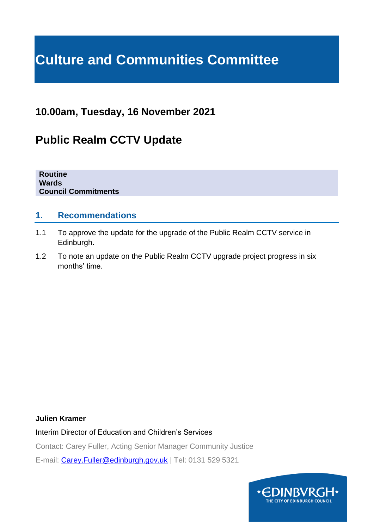# **Culture and Communities Committee**

## **10.00am, Tuesday, 16 November 2021**

## **Public Realm CCTV Update**

**Routine Wards Council Commitments**

## **1. Recommendations**

- 1.1 To approve the update for the upgrade of the Public Realm CCTV service in Edinburgh.
- 1.2 To note an update on the Public Realm CCTV upgrade project progress in six months' time.

#### **Julien Kramer**

Interim Director of Education and Children's Services

Contact: Carey Fuller, Acting Senior Manager Community Justice

E-mail: [Carey.Fuller@edinburgh.gov.uk](mailto:Carey.Fuller@edinburgh.gov.uk) | Tel: 0131 529 5321

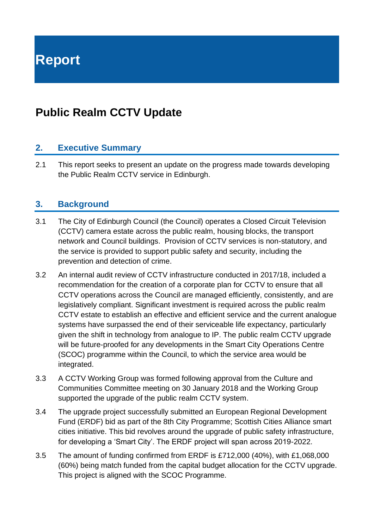**Report**

## **Public Realm CCTV Update**

## **2. Executive Summary**

2.1 This report seeks to present an update on the progress made towards developing the Public Realm CCTV service in Edinburgh.

## **3. Background**

- 3.1 The City of Edinburgh Council (the Council) operates a Closed Circuit Television (CCTV) camera estate across the public realm, housing blocks, the transport network and Council buildings. Provision of CCTV services is non-statutory, and the service is provided to support public safety and security, including the prevention and detection of crime.
- 3.2 An internal audit review of CCTV infrastructure conducted in 2017/18, included a recommendation for the creation of a corporate plan for CCTV to ensure that all CCTV operations across the Council are managed efficiently, consistently, and are legislatively compliant. Significant investment is required across the public realm CCTV estate to establish an effective and efficient service and the current analogue systems have surpassed the end of their serviceable life expectancy, particularly given the shift in technology from analogue to IP. The public realm CCTV upgrade will be future-proofed for any developments in the Smart City Operations Centre (SCOC) programme within the Council, to which the service area would be integrated.
- 3.3 A CCTV Working Group was formed following approval from the Culture and Communities Committee meeting on 30 January 2018 and the Working Group supported the upgrade of the public realm CCTV system.
- 3.4 The upgrade project successfully submitted an European Regional Development Fund (ERDF) bid as part of the 8th City Programme; Scottish Cities Alliance smart cities initiative. This bid revolves around the upgrade of public safety infrastructure, for developing a 'Smart City'. The ERDF project will span across 2019-2022.
- 3.5 The amount of funding confirmed from ERDF is £712,000 (40%), with £1,068,000 (60%) being match funded from the capital budget allocation for the CCTV upgrade. This project is aligned with the SCOC Programme.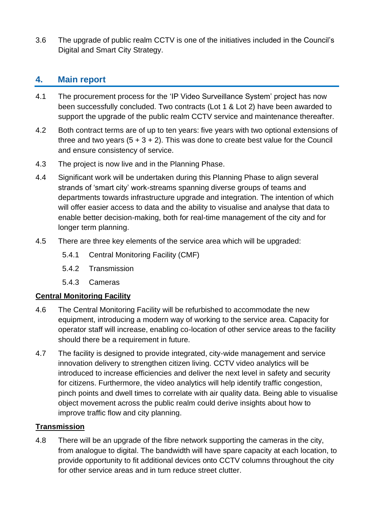3.6 The upgrade of public realm CCTV is one of the initiatives included in the Council's Digital and Smart City Strategy.

## **4. Main report**

- 4.1 The procurement process for the 'IP Video Surveillance System' project has now been successfully concluded. Two contracts (Lot 1 & Lot 2) have been awarded to support the upgrade of the public realm CCTV service and maintenance thereafter.
- 4.2 Both contract terms are of up to ten years: five years with two optional extensions of three and two years  $(5 + 3 + 2)$ . This was done to create best value for the Council and ensure consistency of service.
- 4.3 The project is now live and in the Planning Phase.
- 4.4 Significant work will be undertaken during this Planning Phase to align several strands of 'smart city' work-streams spanning diverse groups of teams and departments towards infrastructure upgrade and integration. The intention of which will offer easier access to data and the ability to visualise and analyse that data to enable better decision-making, both for real-time management of the city and for longer term planning.
- 4.5 There are three key elements of the service area which will be upgraded:
	- 5.4.1 Central Monitoring Facility (CMF)
	- 5.4.2 Transmission
	- 5.4.3 Cameras

## **Central Monitoring Facility**

- 4.6 The Central Monitoring Facility will be refurbished to accommodate the new equipment, introducing a modern way of working to the service area. Capacity for operator staff will increase, enabling co-location of other service areas to the facility should there be a requirement in future.
- 4.7 The facility is designed to provide integrated, city-wide management and service innovation delivery to strengthen citizen living. CCTV video analytics will be introduced to increase efficiencies and deliver the next level in safety and security for citizens. Furthermore, the video analytics will help identify traffic congestion, pinch points and dwell times to correlate with air quality data. Being able to visualise object movement across the public realm could derive insights about how to improve traffic flow and city planning.

## **Transmission**

4.8 There will be an upgrade of the fibre network supporting the cameras in the city, from analogue to digital. The bandwidth will have spare capacity at each location, to provide opportunity to fit additional devices onto CCTV columns throughout the city for other service areas and in turn reduce street clutter.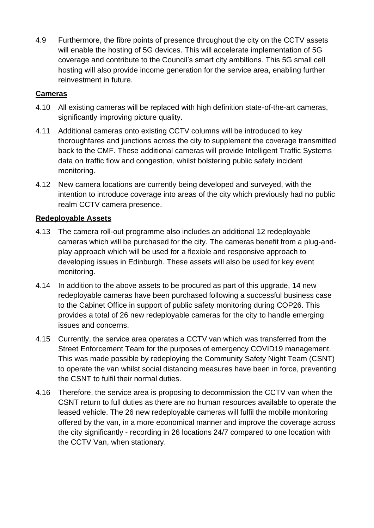4.9 Furthermore, the fibre points of presence throughout the city on the CCTV assets will enable the hosting of 5G devices. This will accelerate implementation of 5G coverage and contribute to the Council's smart city ambitions. This 5G small cell hosting will also provide income generation for the service area, enabling further reinvestment in future.

## **Cameras**

- 4.10 All existing cameras will be replaced with high definition state-of-the-art cameras, significantly improving picture quality.
- 4.11 Additional cameras onto existing CCTV columns will be introduced to key thoroughfares and junctions across the city to supplement the coverage transmitted back to the CMF. These additional cameras will provide Intelligent Traffic Systems data on traffic flow and congestion, whilst bolstering public safety incident monitoring.
- 4.12 New camera locations are currently being developed and surveyed, with the intention to introduce coverage into areas of the city which previously had no public realm CCTV camera presence.

## **Redeployable Assets**

- 4.13 The camera roll-out programme also includes an additional 12 redeployable cameras which will be purchased for the city. The cameras benefit from a plug-andplay approach which will be used for a flexible and responsive approach to developing issues in Edinburgh. These assets will also be used for key event monitoring.
- 4.14 In addition to the above assets to be procured as part of this upgrade, 14 new redeployable cameras have been purchased following a successful business case to the Cabinet Office in support of public safety monitoring during COP26. This provides a total of 26 new redeployable cameras for the city to handle emerging issues and concerns.
- 4.15 Currently, the service area operates a CCTV van which was transferred from the Street Enforcement Team for the purposes of emergency COVID19 management. This was made possible by redeploying the Community Safety Night Team (CSNT) to operate the van whilst social distancing measures have been in force, preventing the CSNT to fulfil their normal duties.
- 4.16 Therefore, the service area is proposing to decommission the CCTV van when the CSNT return to full duties as there are no human resources available to operate the leased vehicle. The 26 new redeployable cameras will fulfil the mobile monitoring offered by the van, in a more economical manner and improve the coverage across the city significantly - recording in 26 locations 24/7 compared to one location with the CCTV Van, when stationary.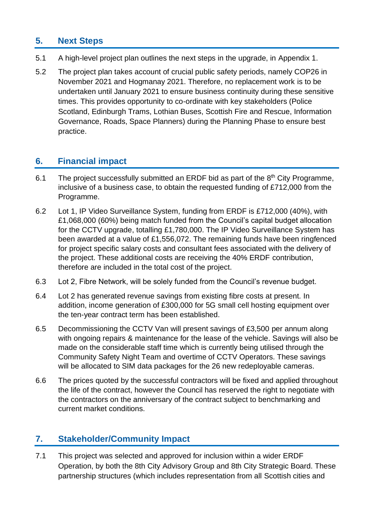## **5. Next Steps**

- 5.1 A high-level project plan outlines the next steps in the upgrade, in Appendix 1.
- 5.2 The project plan takes account of crucial public safety periods, namely COP26 in November 2021 and Hogmanay 2021. Therefore, no replacement work is to be undertaken until January 2021 to ensure business continuity during these sensitive times. This provides opportunity to co-ordinate with key stakeholders (Police Scotland, Edinburgh Trams, Lothian Buses, Scottish Fire and Rescue, Information Governance, Roads, Space Planners) during the Planning Phase to ensure best practice.

## **6. Financial impact**

- 6.1 The project successfully submitted an ERDF bid as part of the  $8<sup>th</sup>$  City Programme, inclusive of a business case, to obtain the requested funding of £712,000 from the Programme.
- 6.2 Lot 1, IP Video Surveillance System, funding from ERDF is £712,000 (40%), with £1,068,000 (60%) being match funded from the Council's capital budget allocation for the CCTV upgrade, totalling £1,780,000. The IP Video Surveillance System has been awarded at a value of £1,556,072. The remaining funds have been ringfenced for project specific salary costs and consultant fees associated with the delivery of the project. These additional costs are receiving the 40% ERDF contribution, therefore are included in the total cost of the project.
- 6.3 Lot 2, Fibre Network, will be solely funded from the Council's revenue budget.
- 6.4 Lot 2 has generated revenue savings from existing fibre costs at present. In addition, income generation of £300,000 for 5G small cell hosting equipment over the ten-year contract term has been established.
- 6.5 Decommissioning the CCTV Van will present savings of £3,500 per annum along with ongoing repairs & maintenance for the lease of the vehicle. Savings will also be made on the considerable staff time which is currently being utilised through the Community Safety Night Team and overtime of CCTV Operators. These savings will be allocated to SIM data packages for the 26 new redeployable cameras.
- 6.6 The prices quoted by the successful contractors will be fixed and applied throughout the life of the contract, however the Council has reserved the right to negotiate with the contractors on the anniversary of the contract subject to benchmarking and current market conditions.

## **7. Stakeholder/Community Impact**

7.1 This project was selected and approved for inclusion within a wider ERDF Operation, by both the 8th City Advisory Group and 8th City Strategic Board. These partnership structures (which includes representation from all Scottish cities and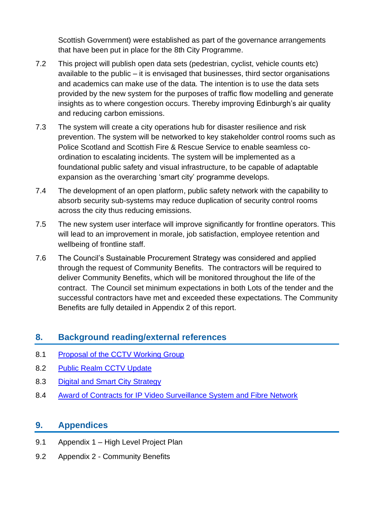Scottish Government) were established as part of the governance arrangements that have been put in place for the 8th City Programme.

- 7.2 This project will publish open data sets (pedestrian, cyclist, vehicle counts etc) available to the public – it is envisaged that businesses, third sector organisations and academics can make use of the data. The intention is to use the data sets provided by the new system for the purposes of traffic flow modelling and generate insights as to where congestion occurs. Thereby improving Edinburgh's air quality and reducing carbon emissions.
- 7.3 The system will create a city operations hub for disaster resilience and risk prevention. The system will be networked to key stakeholder control rooms such as Police Scotland and Scottish Fire & Rescue Service to enable seamless coordination to escalating incidents. The system will be implemented as a foundational public safety and visual infrastructure, to be capable of adaptable expansion as the overarching 'smart city' programme develops.
- 7.4 The development of an open platform, public safety network with the capability to absorb security sub-systems may reduce duplication of security control rooms across the city thus reducing emissions.
- 7.5 The new system user interface will improve significantly for frontline operators. This will lead to an improvement in morale, job satisfaction, employee retention and wellbeing of frontline staff.
- 7.6 The Council's Sustainable Procurement Strategy was considered and applied through the request of Community Benefits. The contractors will be required to deliver Community Benefits, which will be monitored throughout the life of the contract. The Council set minimum expectations in both Lots of the tender and the successful contractors have met and exceeded these expectations. The Community Benefits are fully detailed in Appendix 2 of this report.

## **8. Background reading/external references**

- 8.1 [Proposal of the CCTV Working Group](https://democracy.edinburgh.gov.uk/Data/Culture%20and%20Communities%20Committee/20180130/Agenda/item_83_-_cctv_working_group.pdf)
- 8.2 [Public Realm CCTV Update](https://democracy.edinburgh.gov.uk/documents/s30670/Item%208.4%20-%20Public%20Realm%20CCTV%20Update%20Report.pdf)
- 8.3 [Digital and Smart City Strategy](https://democracy.edinburgh.gov.uk/documents/s26745/7.10%20-%20Digital%20and%20Smart%20City%20Strategy.pdf)
- 8.4 [Award of Contracts for IP Video Surveillance System and Fibre Network](https://democracy.edinburgh.gov.uk/documents/s35959/Item%208.10%20-%20Award%20of%20Contracts%20for%20IP%20Video%20Surveillance%20System%20and%20Fibre%20Network.pdf)

## **9. Appendices**

- 9.1 Appendix 1 High Level Project Plan
- 9.2 Appendix 2 Community Benefits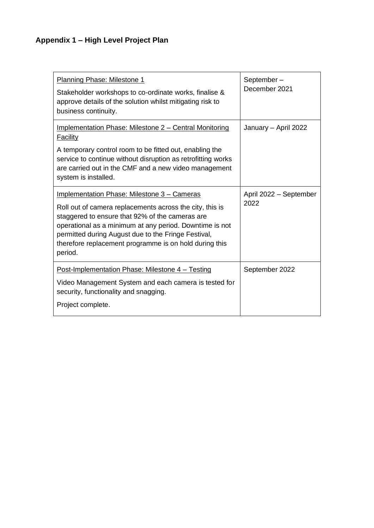## **Appendix 1 – High Level Project Plan**

| Planning Phase: Milestone 1<br>Stakeholder workshops to co-ordinate works, finalise &<br>approve details of the solution whilst mitigating risk to<br>business continuity.                                                                                                                                                                        | September-<br>December 2021    |
|---------------------------------------------------------------------------------------------------------------------------------------------------------------------------------------------------------------------------------------------------------------------------------------------------------------------------------------------------|--------------------------------|
| <b>Implementation Phase: Milestone 2 – Central Monitoring</b><br><b>Facility</b><br>A temporary control room to be fitted out, enabling the<br>service to continue without disruption as retrofitting works<br>are carried out in the CMF and a new video management<br>system is installed.                                                      | January - April 2022           |
| Implementation Phase: Milestone 3 - Cameras<br>Roll out of camera replacements across the city, this is<br>staggered to ensure that 92% of the cameras are<br>operational as a minimum at any period. Downtime is not<br>permitted during August due to the Fringe Festival,<br>therefore replacement programme is on hold during this<br>period. | April 2022 - September<br>2022 |
| Post-Implementation Phase: Milestone 4 – Testing<br>Video Management System and each camera is tested for<br>security, functionality and snagging.<br>Project complete.                                                                                                                                                                           | September 2022                 |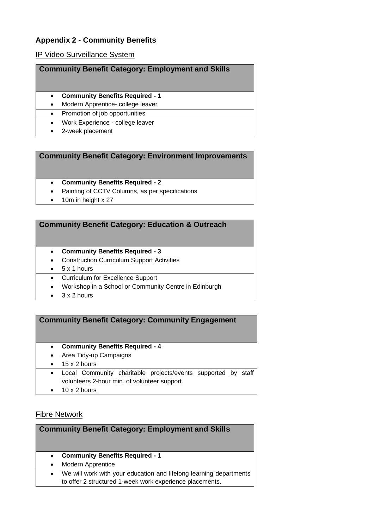## **Appendix 2 - Community Benefits**

#### IP Video Surveillance System

| <b>Community Benefit Category: Employment and Skills</b> |                                        |
|----------------------------------------------------------|----------------------------------------|
| $\bullet$                                                | <b>Community Benefits Required - 1</b> |
| $\bullet$                                                | Modern Apprentice- college leaver      |
| $\bullet$                                                | Promotion of job opportunities         |
| $\bullet$                                                | Work Experience - college leaver       |
|                                                          | 2-week placement                       |

#### **Community Benefit Category: Environment Improvements**

#### • **Community Benefits Required - 2**

- Painting of CCTV Columns, as per specifications
- 10m in height x 27

#### **Community Benefit Category: Education & Outreach**

- **Community Benefits Required - 3**
- Construction Curriculum Support Activities
- 5 x 1 hours
- Curriculum for Excellence Support
- Workshop in a School or Community Centre in Edinburgh
- 3 x 2 hours

#### **Community Benefit Category: Community Engagement**

- **Community Benefits Required - 4**
- Area Tidy-up Campaigns
- $\bullet$  15 x 2 hours
- Local Community charitable projects/events supported by staff volunteers 2-hour min. of volunteer support.
- $\bullet$  10 x 2 hours

#### Fibre Network

#### **Community Benefit Category: Employment and Skills**

- **Community Benefits Required - 1**
- Modern Apprentice
- We will work with your education and lifelong learning departments to offer 2 structured 1-week work experience placements.